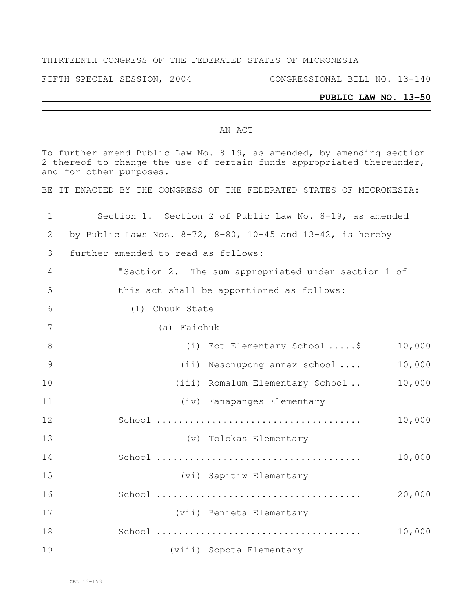#### THIRTEENTH CONGRESS OF THE FEDERATED STATES OF MICRONESIA

FIFTH SPECIAL SESSION, 2004 CONGRESSIONAL BILL NO. 13-140

#### **PUBLIC LAW NO. 13-50**

#### AN ACT

To further amend Public Law No. 8-19, as amended, by amending section thereof to change the use of certain funds appropriated thereunder, and for other purposes. BE IT ENACTED BY THE CONGRESS OF THE FEDERATED STATES OF MICRONESIA: Section 1. Section 2 of Public Law No. 8-19, as amended 2 by Public Laws Nos.  $8-72$ ,  $8-80$ ,  $10-45$  and  $13-42$ , is hereby further amended to read as follows: "Section 2. The sum appropriated under section 1 of this act shall be apportioned as follows: (1) Chuuk State (a) Faichuk 8 (i) Eot Elementary School ..... \$ 10,000 (ii) Nesonupong annex school .... 10,000 10 (iii) Romalum Elementary School . 10,000 (iv) Fanapanges Elementary School ..................................... 10,000 (v) Tolokas Elementary School ..................................... 10,000 (vi) Sapitiw Elementary School ..................................... 20,000 (vii) Penieta Elementary School ..................................... 10,000 (viii) Sopota Elementary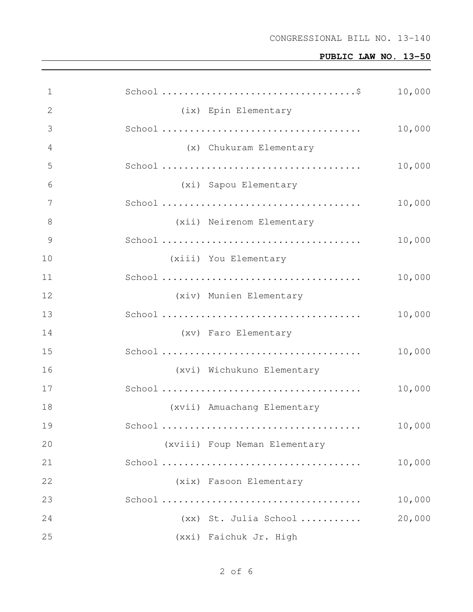| $\mathbf 1$  |                               | 10,000 |
|--------------|-------------------------------|--------|
| $\mathbf{2}$ | (ix) Epin Elementary          |        |
| 3            |                               | 10,000 |
| 4            | (x) Chukuram Elementary       |        |
| 5            |                               | 10,000 |
| 6            | (xi) Sapou Elementary         |        |
| 7            |                               | 10,000 |
| 8            | (xii) Neirenom Elementary     |        |
| 9            |                               | 10,000 |
| 10           | (xiii) You Elementary         |        |
| 11           |                               | 10,000 |
| 12           | (xiv) Munien Elementary       |        |
| 13           |                               | 10,000 |
| 14           | (xv) Faro Elementary          |        |
| 15           |                               | 10,000 |
| 16           | (xvi) Wichukuno Elementary    |        |
| 17           |                               | 10,000 |
| 18           | (xvii) Amuachang Elementary   |        |
| 19           |                               | 10,000 |
| 20           | (xviii) Foup Neman Elementary |        |
| 21           |                               | 10,000 |
| 22           | (xix) Fasoon Elementary       |        |
| 23           |                               | 10,000 |
| 24           | (xx) St. Julia School         | 20,000 |
| 25           | (xxi) Faichuk Jr. High        |        |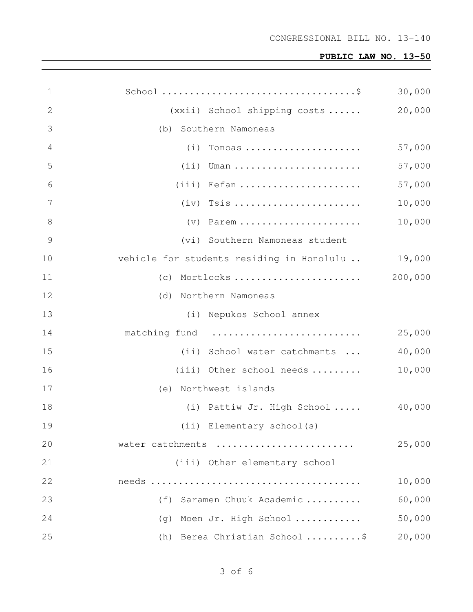| $\mathbf 1$     | $\texttt{School}\dots\dots\dots\dots\dots\dots\dots\dots\dots\dots\dots\dots\dots\dots$ | 30,000  |
|-----------------|-----------------------------------------------------------------------------------------|---------|
| $\mathbf{2}$    | (xxii) School shipping costs                                                            | 20,000  |
| 3               | (b) Southern Namoneas                                                                   |         |
| 4               | $(i)$ Tonoas                                                                            | 57,000  |
| 5               | $(i)$ Uman                                                                              | 57,000  |
| 6               | $(iii)$ Fefan                                                                           | 57,000  |
| $7\phantom{.0}$ |                                                                                         | 10,000  |
| $8\,$           | $(v)$ Parem                                                                             | 10,000  |
| $\mathcal{G}$   | (vi) Southern Namoneas student                                                          |         |
| 10              | vehicle for students residing in Honolulu  19,000                                       |         |
| 11              | $(c)$ Mortlocks                                                                         | 200,000 |
| 12              | (d) Northern Namoneas                                                                   |         |
| 13              | (i) Nepukos School annex                                                                |         |
| 14              | matching fund                                                                           | 25,000  |
| 15              | (ii) School water catchments                                                            | 40,000  |
| 16              | (iii) Other school needs $\ldots \ldots$                                                | 10,000  |
| 17              | (e) Northwest islands                                                                   |         |
| 18              | (i) Pattiw Jr. High School $40,000$                                                     |         |
| 19              | (ii) Elementary school(s)                                                               |         |
| 20              | water catchments                                                                        | 25,000  |
| 21              | (iii) Other elementary school                                                           |         |
| 22              |                                                                                         | 10,000  |
| 23              | Saramen Chuuk Academic<br>(f)                                                           | 60,000  |
| 24              | (g) Moen Jr. High School                                                                | 50,000  |
| 25              | (h) Berea Christian School \$                                                           | 20,000  |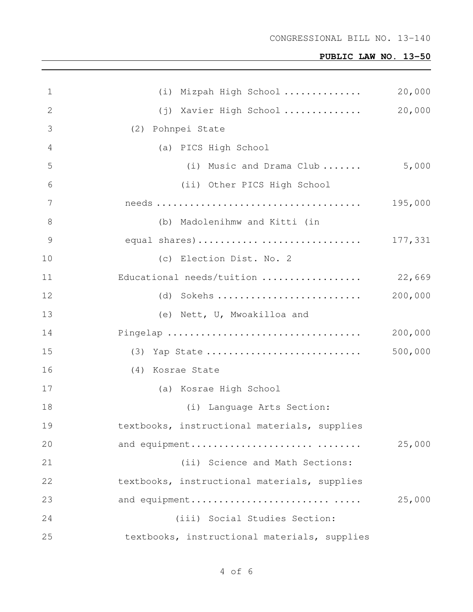| $\mathbf 1$    | (i) Mizpah High School                       | 20,000  |
|----------------|----------------------------------------------|---------|
| 2              | (j) Xavier High School                       | 20,000  |
| 3              | (2) Pohnpei State                            |         |
| 4              | (a) PICS High School                         |         |
| 5              | (i) Music and Drama Club                     | 5,000   |
| 6              | (ii) Other PICS High School                  |         |
| 7              |                                              | 195,000 |
| 8              | (b) Madolenihmw and Kitti (in                |         |
| $\overline{9}$ | equal shares)                                | 177,331 |
| 10             | (c) Election Dist. No. 2                     |         |
| 11             | Educational needs/tuition                    | 22,669  |
| 12             | $(d)$ Sokehs                                 | 200,000 |
| 13             | (e) Nett, U, Mwoakilloa and                  |         |
| 14             |                                              | 200,000 |
| 15             | (3) Yap State                                | 500,000 |
| 16             | (4) Kosrae State                             |         |
| 17             | (a) Kosrae High School                       |         |
| 18             | (i) Language Arts Section:                   |         |
| 19             | textbooks, instructional materials, supplies |         |
| 20             | and equipment                                | 25,000  |
| 21             | (ii) Science and Math Sections:              |         |
| 22             | textbooks, instructional materials, supplies |         |
| 23             | and equipment                                | 25,000  |
| 24             | (iii) Social Studies Section:                |         |
| 25             | textbooks, instructional materials, supplies |         |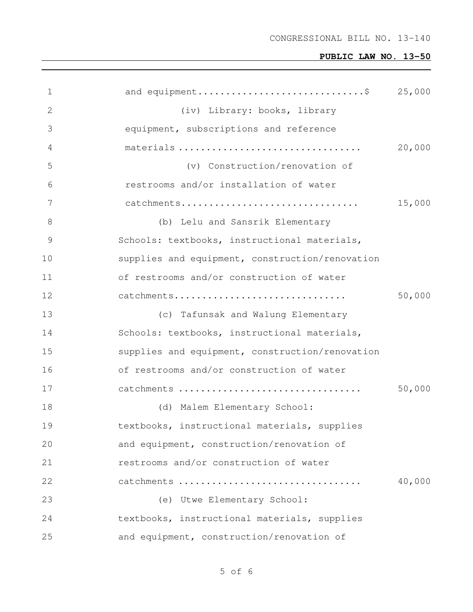| 1  | and equipment\$                                 | 25,000 |
|----|-------------------------------------------------|--------|
| 2  | (iv) Library: books, library                    |        |
| 3  | equipment, subscriptions and reference          |        |
| 4  | materials                                       | 20,000 |
| 5  | (v) Construction/renovation of                  |        |
| 6  | restrooms and/or installation of water          |        |
| 7  | catchments                                      | 15,000 |
| 8  | (b) Lelu and Sansrik Elementary                 |        |
| 9  | Schools: textbooks, instructional materials,    |        |
| 10 | supplies and equipment, construction/renovation |        |
| 11 | of restrooms and/or construction of water       |        |
| 12 | catchments                                      | 50,000 |
| 13 | (c) Tafunsak and Walung Elementary              |        |
| 14 | Schools: textbooks, instructional materials,    |        |
| 15 | supplies and equipment, construction/renovation |        |
| 16 | of restrooms and/or construction of water       |        |
| 17 | catchments                                      | 50,000 |
| 18 | (d) Malem Elementary School:                    |        |
| 19 | textbooks, instructional materials, supplies    |        |
| 20 | and equipment, construction/renovation of       |        |
| 21 | restrooms and/or construction of water          |        |
| 22 | catchments                                      | 40,000 |
| 23 | (e) Utwe Elementary School:                     |        |
| 24 | textbooks, instructional materials, supplies    |        |
| 25 | and equipment, construction/renovation of       |        |

of 6